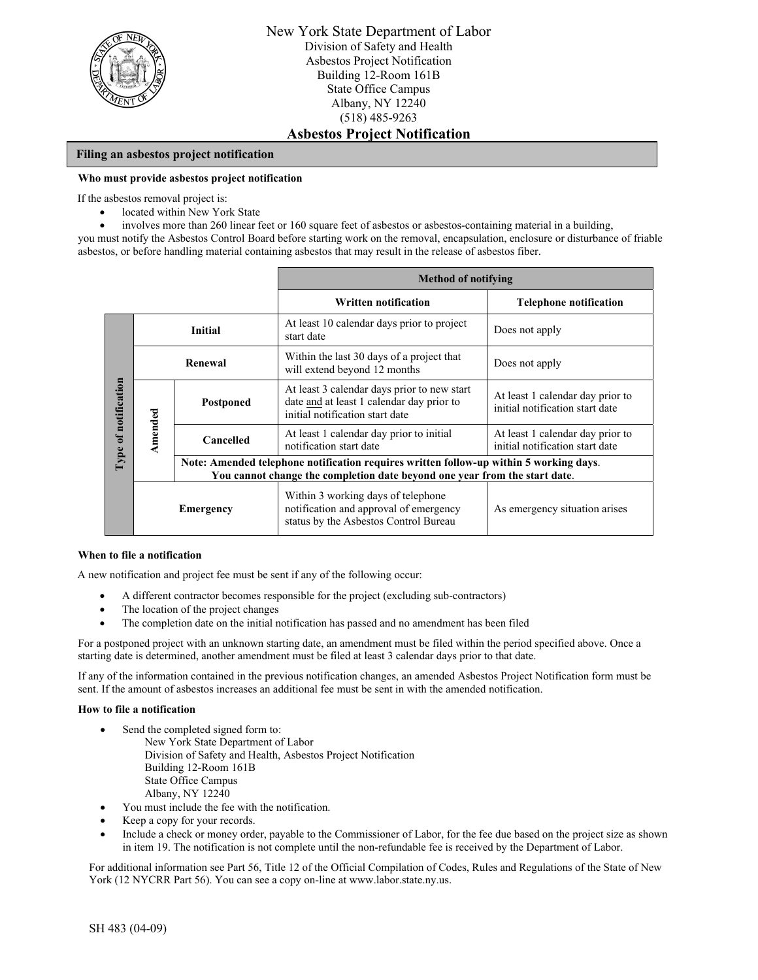

### **Filing an asbestos project notification**

#### **Who must provide asbestos project notification**

If the asbestos removal project is:

- located within New York State
- involves more than 260 linear feet or 160 square feet of asbestos or asbestos-containing material in a building,

you must notify the Asbestos Control Board before starting work on the removal, encapsulation, enclosure or disturbance of friable asbestos, or before handling material containing asbestos that may result in the release of asbestos fiber.

|                      |                  |                                                                                                                                                                      | <b>Method of notifying</b>                                                                                                  |                                                                     |  |  |
|----------------------|------------------|----------------------------------------------------------------------------------------------------------------------------------------------------------------------|-----------------------------------------------------------------------------------------------------------------------------|---------------------------------------------------------------------|--|--|
|                      |                  |                                                                                                                                                                      | <b>Written notification</b>                                                                                                 | <b>Telephone notification</b>                                       |  |  |
| Type of notification | <b>Initial</b>   |                                                                                                                                                                      | At least 10 calendar days prior to project<br>start date                                                                    | Does not apply                                                      |  |  |
|                      | Renewal          |                                                                                                                                                                      | Within the last 30 days of a project that<br>will extend beyond 12 months                                                   | Does not apply                                                      |  |  |
|                      | Amended          | Postponed                                                                                                                                                            | At least 3 calendar days prior to new start<br>date and at least 1 calendar day prior to<br>initial notification start date | At least 1 calendar day prior to<br>initial notification start date |  |  |
|                      |                  | Cancelled                                                                                                                                                            | At least 1 calendar day prior to initial<br>notification start date                                                         | At least 1 calendar day prior to<br>initial notification start date |  |  |
|                      |                  | Note: Amended telephone notification requires written follow-up within 5 working days.<br>You cannot change the completion date beyond one year from the start date. |                                                                                                                             |                                                                     |  |  |
|                      | <b>Emergency</b> |                                                                                                                                                                      | Within 3 working days of telephone<br>notification and approval of emergency<br>status by the Asbestos Control Bureau       | As emergency situation arises                                       |  |  |

#### **When to file a notification**

A new notification and project fee must be sent if any of the following occur:

- A different contractor becomes responsible for the project (excluding sub-contractors)
- The location of the project changes
- The completion date on the initial notification has passed and no amendment has been filed

For a postponed project with an unknown starting date, an amendment must be filed within the period specified above. Once a starting date is determined, another amendment must be filed at least 3 calendar days prior to that date.

If any of the information contained in the previous notification changes, an amended Asbestos Project Notification form must be sent. If the amount of asbestos increases an additional fee must be sent in with the amended notification.

#### **How to file a notification**

- Send the completed signed form to: New York State Department of Labor Division of Safety and Health, Asbestos Project Notification Building 12-Room 161B State Office Campus Albany, NY 12240
- You must include the fee with the notification.
- Keep a copy for your records.
- Include a check or money order, payable to the Commissioner of Labor, for the fee due based on the project size as shown in item 19. The notification is not complete until the non-refundable fee is received by the Department of Labor.

For additional information see Part 56, Title 12 of the Official Compilation of Codes, Rules and Regulations of the State of New York (12 NYCRR Part 56). You can see a copy on-line at www.labor.state.ny.us.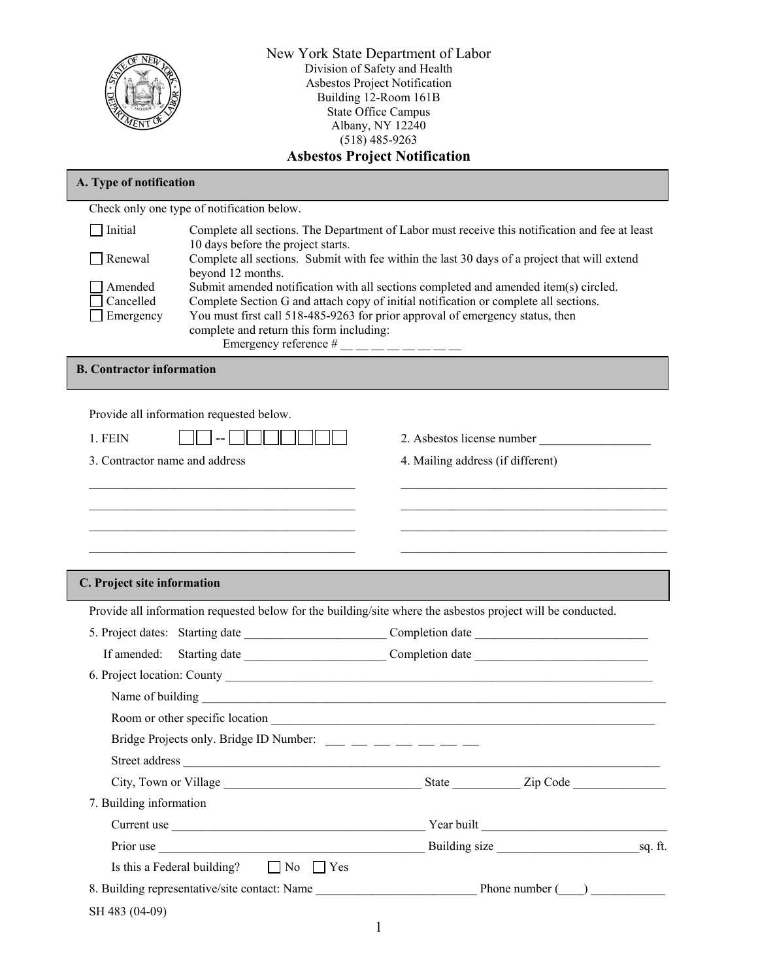

New York State Department of Labor Division of Safety and Health Asbestos Project Notification Building 12-Room 161B State Office Campus Albany, NY 12240 (518) 485-9263 **Asbestos Project Notification** 

# Check only one type of notification below. **A. Type of notification**  Initial Complete all sections. The Department of Labor must receive this notification and fee at least 10 days before the project starts. Renewal Complete all sections. Submit with fee within the last 30 days of a project that will extend beyond 12 months. Amended Submit amended notification with all sections completed and amended item(s) circled. Cancelled Complete Section G and attach copy of initial notification or complete all sections. Emergency You must first call 518-485-9263 for prior approval of emergency status, then complete and return this form including: Emergency reference  $\frac{H_{\text{max}}}{H_{\text{max}}}$  \_\_ \_ \_ \_ \_ \_ \_ **B. Contractor information**  Provide all information requested below. 1. FEIN  $\|\cdot\|$   $\|\cdot\|$   $\|\cdot\|$   $\|\cdot\|$   $\|\cdot\|$   $\|\cdot\|$  2. Asbestos license number 3. Contractor name and address 4. Mailing address (if different)  $\mathcal{L}_\text{max}$  , and the contribution of the contribution of the contribution of the contribution of the contribution of the contribution of the contribution of the contribution of the contribution of the contribution of t  $\mathcal{L}_\text{max}$  , and the contribution of the contribution of the contribution of the contribution of the contribution of the contribution of the contribution of the contribution of the contribution of the contribution of t  $\mathcal{L}_\text{max}$  , and the contribution of the contribution of the contribution of the contribution of the contribution of the contribution of the contribution of the contribution of the contribution of the contribution of t  $\mathcal{L}_\text{max}$  , and the contribution of the contribution of the contribution of the contribution of the contribution of the contribution of the contribution of the contribution of the contribution of the contribution of t Provide all information requested below for the building/site where the asbestos project will be conducted.  **C. Project site information**  5. Project dates: Starting date \_\_\_\_\_\_\_\_\_\_\_\_\_\_\_\_\_\_\_\_\_\_\_ Completion date \_\_\_\_\_\_\_\_\_\_\_\_\_\_\_\_\_\_\_\_\_\_\_\_\_\_\_\_ If amended: Starting date Completion date 6. Project location: County Name of building Room or other specific location Bridge Projects only. Bridge ID Number: \_\_\_ \_\_ \_\_ \_\_ \_\_ \_\_ \_\_ \_\_ Street address \_\_\_\_\_\_\_\_\_\_\_\_\_\_\_\_\_\_\_\_\_\_\_\_\_\_\_\_\_\_\_\_\_\_\_\_\_\_\_\_\_\_\_\_\_\_\_\_\_\_\_\_\_\_\_\_\_\_\_\_\_\_\_\_\_\_\_\_\_\_\_\_\_\_\_\_\_ City, Town or Village \_\_\_\_\_\_\_\_\_\_\_\_\_\_\_\_\_\_\_\_\_\_\_\_\_\_\_\_\_\_\_\_ State \_\_\_\_\_\_\_\_\_\_\_ Zip Code \_\_\_\_\_\_\_\_\_\_\_\_\_\_\_ 7. Building information Current use the set of the set of the set of the set of the set of the set of the set of the set of the set of the set of the set of the set of the set of the set of the set of the set of the set of the set of the set of t Prior use example and the Building size sq. ft. Is this a Federal building?  $\Box$  No  $\Box$  Yes 8. Building representative/site contact: Name \_\_\_\_\_\_\_\_\_\_\_\_\_\_\_\_\_\_\_\_\_\_\_\_\_\_\_\_\_\_\_\_\_\_\_ Phone number (\_\_\_\_) \_\_\_\_\_\_\_\_\_\_\_\_\_\_\_

SH 483 (04-09)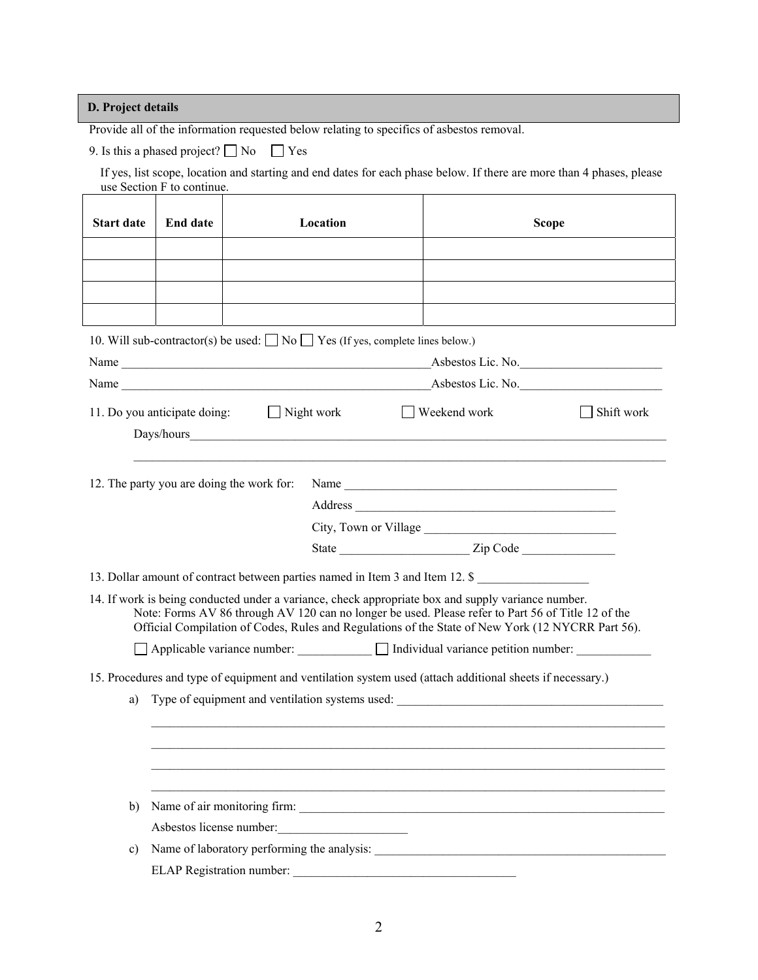**D. Project details** 

Provide all of the information requested below relating to specifics of asbestos removal.

9. Is this a phased project?  $\Box$  No  $\Box$  Yes

If yes, list scope, location and starting and end dates for each phase below. If there are more than 4 phases, please use Section F to continue.

| <b>Start date</b>                                                                                                                                                                                                                                                                                                                                                                              | <b>End date</b>                                                                                                                                                                                |                                           | Location                                                                                 | <b>Scope</b>      |  |  |
|------------------------------------------------------------------------------------------------------------------------------------------------------------------------------------------------------------------------------------------------------------------------------------------------------------------------------------------------------------------------------------------------|------------------------------------------------------------------------------------------------------------------------------------------------------------------------------------------------|-------------------------------------------|------------------------------------------------------------------------------------------|-------------------|--|--|
|                                                                                                                                                                                                                                                                                                                                                                                                |                                                                                                                                                                                                |                                           |                                                                                          |                   |  |  |
|                                                                                                                                                                                                                                                                                                                                                                                                |                                                                                                                                                                                                |                                           |                                                                                          |                   |  |  |
|                                                                                                                                                                                                                                                                                                                                                                                                |                                                                                                                                                                                                |                                           |                                                                                          |                   |  |  |
|                                                                                                                                                                                                                                                                                                                                                                                                |                                                                                                                                                                                                |                                           |                                                                                          |                   |  |  |
|                                                                                                                                                                                                                                                                                                                                                                                                |                                                                                                                                                                                                |                                           | 10. Will sub-contractor(s) be used: $\Box$ No $\Box$ Yes (If yes, complete lines below.) |                   |  |  |
|                                                                                                                                                                                                                                                                                                                                                                                                |                                                                                                                                                                                                |                                           | Name                                                                                     | Asbestos Lic. No. |  |  |
|                                                                                                                                                                                                                                                                                                                                                                                                |                                                                                                                                                                                                |                                           | Name                                                                                     | Asbestos Lic. No. |  |  |
|                                                                                                                                                                                                                                                                                                                                                                                                | $\Box$ Night work<br>Shift work<br>Weekend work<br>11. Do you anticipate doing:                                                                                                                |                                           |                                                                                          |                   |  |  |
|                                                                                                                                                                                                                                                                                                                                                                                                |                                                                                                                                                                                                |                                           |                                                                                          |                   |  |  |
|                                                                                                                                                                                                                                                                                                                                                                                                |                                                                                                                                                                                                | 12. The party you are doing the work for: |                                                                                          |                   |  |  |
|                                                                                                                                                                                                                                                                                                                                                                                                |                                                                                                                                                                                                |                                           |                                                                                          |                   |  |  |
|                                                                                                                                                                                                                                                                                                                                                                                                |                                                                                                                                                                                                |                                           |                                                                                          |                   |  |  |
|                                                                                                                                                                                                                                                                                                                                                                                                |                                                                                                                                                                                                |                                           |                                                                                          |                   |  |  |
|                                                                                                                                                                                                                                                                                                                                                                                                |                                                                                                                                                                                                |                                           |                                                                                          |                   |  |  |
| 13. Dollar amount of contract between parties named in Item 3 and Item 12. \$<br>14. If work is being conducted under a variance, check appropriate box and supply variance number.<br>Note: Forms AV 86 through AV 120 can no longer be used. Please refer to Part 56 of Title 12 of the<br>Official Compilation of Codes, Rules and Regulations of the State of New York (12 NYCRR Part 56). |                                                                                                                                                                                                |                                           |                                                                                          |                   |  |  |
|                                                                                                                                                                                                                                                                                                                                                                                                | □ Applicable variance number: □ Individual variance petition number: □                                                                                                                         |                                           |                                                                                          |                   |  |  |
|                                                                                                                                                                                                                                                                                                                                                                                                |                                                                                                                                                                                                |                                           |                                                                                          |                   |  |  |
| a)                                                                                                                                                                                                                                                                                                                                                                                             | 15. Procedures and type of equipment and ventilation system used (attach additional sheets if necessary.)<br>Type of equipment and ventilation systems used: _________________________________ |                                           |                                                                                          |                   |  |  |
|                                                                                                                                                                                                                                                                                                                                                                                                |                                                                                                                                                                                                |                                           |                                                                                          |                   |  |  |
|                                                                                                                                                                                                                                                                                                                                                                                                |                                                                                                                                                                                                |                                           |                                                                                          |                   |  |  |
| $\mathbf{b}$                                                                                                                                                                                                                                                                                                                                                                                   | Name of air monitoring firm:                                                                                                                                                                   |                                           |                                                                                          |                   |  |  |
|                                                                                                                                                                                                                                                                                                                                                                                                |                                                                                                                                                                                                |                                           | Asbestos license number:                                                                 |                   |  |  |
| $\mathbf{c})$                                                                                                                                                                                                                                                                                                                                                                                  |                                                                                                                                                                                                |                                           |                                                                                          |                   |  |  |
|                                                                                                                                                                                                                                                                                                                                                                                                |                                                                                                                                                                                                |                                           |                                                                                          |                   |  |  |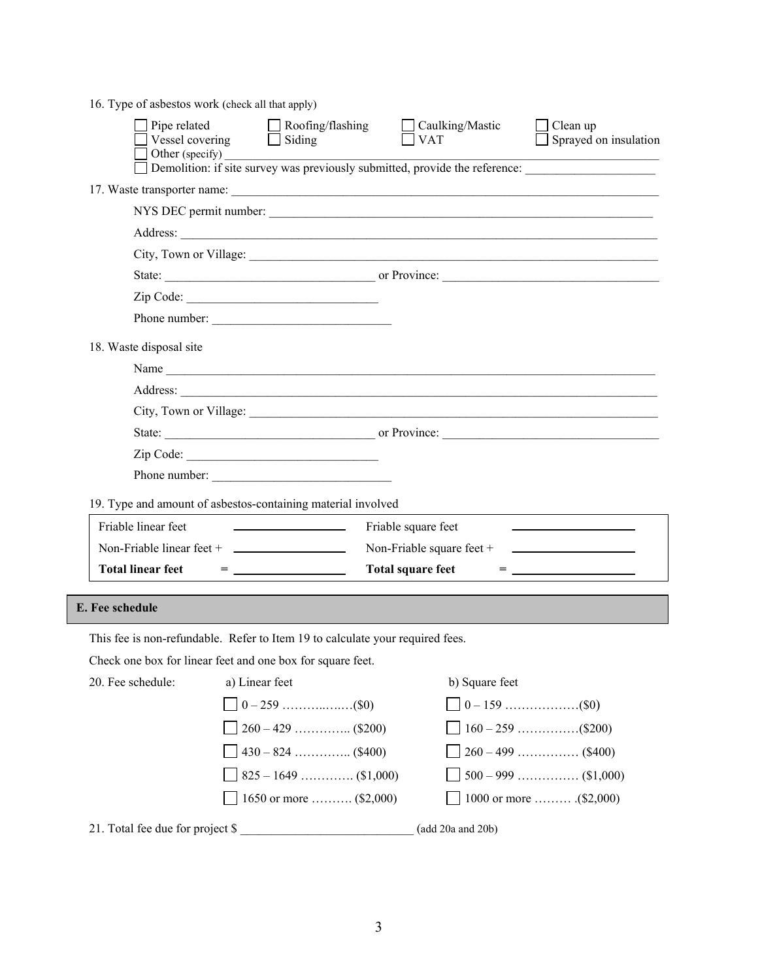|  |  | 16. Type of asbestos work (check all that apply) |  |  |  |
|--|--|--------------------------------------------------|--|--|--|
|--|--|--------------------------------------------------|--|--|--|

| Pipe related<br>Vessel covering  | Roofing/flashing<br>$\Box$ Siding<br>Other (specify)                          | Caulking/Mastic<br><b>VAT</b>                                                                  | Clean up<br>Sprayed on insulation              |  |  |  |  |
|----------------------------------|-------------------------------------------------------------------------------|------------------------------------------------------------------------------------------------|------------------------------------------------|--|--|--|--|
|                                  | Demolition: if site survey was previously submitted, provide the reference:   |                                                                                                |                                                |  |  |  |  |
|                                  |                                                                               |                                                                                                |                                                |  |  |  |  |
|                                  | NYS DEC permit number:                                                        |                                                                                                |                                                |  |  |  |  |
|                                  |                                                                               |                                                                                                |                                                |  |  |  |  |
|                                  |                                                                               |                                                                                                |                                                |  |  |  |  |
|                                  |                                                                               |                                                                                                |                                                |  |  |  |  |
|                                  |                                                                               |                                                                                                |                                                |  |  |  |  |
|                                  | Phone number:                                                                 |                                                                                                |                                                |  |  |  |  |
| 18. Waste disposal site          |                                                                               |                                                                                                |                                                |  |  |  |  |
|                                  |                                                                               |                                                                                                |                                                |  |  |  |  |
|                                  |                                                                               |                                                                                                |                                                |  |  |  |  |
|                                  |                                                                               |                                                                                                |                                                |  |  |  |  |
|                                  |                                                                               |                                                                                                |                                                |  |  |  |  |
|                                  | Zip Code:                                                                     |                                                                                                |                                                |  |  |  |  |
|                                  | Phone number:                                                                 |                                                                                                |                                                |  |  |  |  |
|                                  | 19. Type and amount of asbestos-containing material involved                  |                                                                                                |                                                |  |  |  |  |
| Friable linear feet              | <u> 1990 - John Stone, amerikansk politiker</u>                               | Friable square feet                                                                            |                                                |  |  |  |  |
|                                  | Non-Friable linear feet + $\qquad$                                            | Non-Friable square feet $+$                                                                    | <u> The Communication of the Communication</u> |  |  |  |  |
| <b>Total linear feet</b>         | $\qquad \qquad \displaystyle = \underline{\qquad \qquad }$                    | <b>Total square feet</b><br>$= \underbrace{\hspace{2.5cm}}_{\rule{2.5cm}{2.5cm} \textbf{2.1}}$ |                                                |  |  |  |  |
| <b>E.</b> Fee schedule           |                                                                               |                                                                                                |                                                |  |  |  |  |
|                                  | This fee is non-refundable. Refer to Item 19 to calculate your required fees. |                                                                                                |                                                |  |  |  |  |
|                                  | Check one box for linear feet and one box for square feet.                    |                                                                                                |                                                |  |  |  |  |
|                                  |                                                                               |                                                                                                |                                                |  |  |  |  |
| 20. Fee schedule:                | a) Linear feet                                                                | b) Square feet                                                                                 |                                                |  |  |  |  |
|                                  |                                                                               |                                                                                                |                                                |  |  |  |  |
|                                  |                                                                               |                                                                                                |                                                |  |  |  |  |
|                                  | $430 - 824$ (\$400)                                                           |                                                                                                | $260 - 499$ (\$400)                            |  |  |  |  |
|                                  | $825 - 1649$ (\$1,000)                                                        |                                                                                                | $500 - 999$ (\$1,000)                          |  |  |  |  |
|                                  | 1650 or more $(\$2,000)$                                                      |                                                                                                | 1000 or more  (\$2,000)                        |  |  |  |  |
| 21. Total fee due for project \$ |                                                                               | (add 20a and 20b)                                                                              |                                                |  |  |  |  |